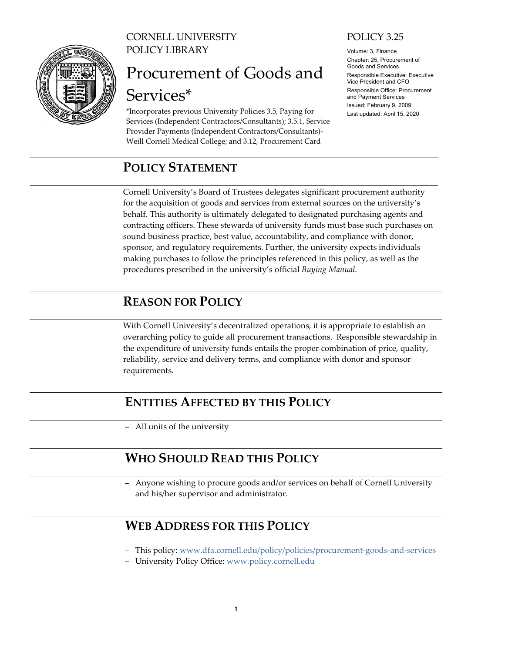

CORNELL UNIVERSITY POLICY LIBRARY

# Procurement of Goods and Services\*

\*Incorporates previous University Policies 3.5, Paying for Services (Independent Contractors/Consultants); 3.5.1, Service Provider Payments (Independent Contractors/Consultants)- Weill Cornell Medical College; and 3.12, Procurement Card

# <span id="page-0-0"></span>**POLICY STATEMENT**

## POLICY 3.25

Volume: 3, Finance Chapter: 25, Procurement of Goods and Services Responsible Executive: Executive Vice President and CFO Responsible Office: Procurement and Payment Services Issued: February 9, 2009 Last updated: April 15, 2020

Cornell University's Board of Trustees delegates significant procurement authority for the acquisition of goods and services from external sources on the university's behalf. This authority is ultimately delegated to designated purchasing agents and contracting officers. These stewards of university funds must base such purchases on sound business practice, best value, accountability, and compliance with donor, sponsor, and regulatory requirements. Further, the university expects individuals making purchases to follow the principles referenced in this policy, as well as the procedures prescribed in the university's official *Buying Manual*.

# <span id="page-0-1"></span>**REASON FOR POLICY**

With Cornell University's decentralized operations, it is appropriate to establish an overarching policy to guide all procurement transactions. Responsible stewardship in the expenditure of university funds entails the proper combination of price, quality, reliability, service and delivery terms, and compliance with donor and sponsor requirements.

# <span id="page-0-2"></span>**ENTITIES AFFECTED BY THIS POLICY**

‒ All units of the university

# <span id="page-0-3"></span>**WHO SHOULD READ THIS POLICY**

- Anyone wishing to procure goods and/or services on behalf of Cornell University and his/her supervisor and administrator.

# <span id="page-0-4"></span>**WEB ADDRESS FOR THIS POLICY**

- ‒ This policy: [www.dfa.cornell.edu/policy/policies/procurement-goods-and-services](http://www.dfa.cornell.edu/policy/policies/procurement-goods-and-services)
- ‒ University Policy Office: [www.policy.cornell.edu](http://www.policy.cornell.edu/)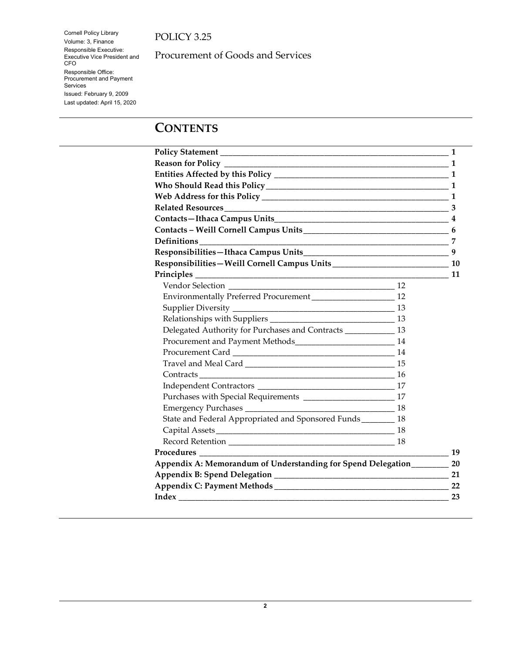Cornell Policy Library Volume: 3, Finance Responsible Executive: Executive Vice President and CFO Responsible Office: Procurement and Payment Services Issued: February 9, 2009 Last updated: April 15, 2020

Procurement of Goods and Services

# **CONTENTS**

|                                                                 |  | -1 |
|-----------------------------------------------------------------|--|----|
|                                                                 |  |    |
|                                                                 |  |    |
|                                                                 |  |    |
|                                                                 |  |    |
|                                                                 |  |    |
|                                                                 |  |    |
|                                                                 |  |    |
|                                                                 |  |    |
|                                                                 |  |    |
|                                                                 |  |    |
|                                                                 |  |    |
|                                                                 |  |    |
|                                                                 |  |    |
|                                                                 |  |    |
|                                                                 |  |    |
| Delegated Authority for Purchases and Contracts ____________ 13 |  |    |
|                                                                 |  |    |
|                                                                 |  |    |
|                                                                 |  |    |
|                                                                 |  |    |
|                                                                 |  |    |
|                                                                 |  |    |
|                                                                 |  |    |
| State and Federal Appropriated and Sponsored Funds _______ 18   |  |    |
|                                                                 |  |    |
|                                                                 |  |    |
|                                                                 |  | 19 |
| Appendix A: Memorandum of Understanding for Spend Delegation    |  | 20 |
|                                                                 |  |    |
|                                                                 |  |    |
|                                                                 |  | 23 |
|                                                                 |  |    |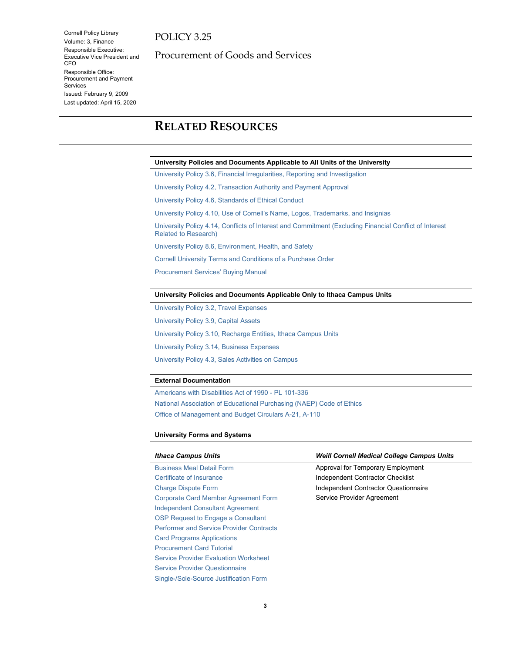Cornell Policy Library Volume: 3, Finance Responsible Executive: Executive Vice President and CFO Responsible Office: Procurement and Payment Services Issued: February 9, 2009 Last updated: April 15, 2020

Procurement of Goods and Services

# <span id="page-2-0"></span>**RELATED RESOURCES**

#### **University Policies and Documents Applicable to All Units of the University**

[University Policy 3.6, Financial Irregularities, Reporting and Investigation](https://www.dfa.cornell.edu/policy/policies/financial-irregularities-reporting-and-investigation)

[University Policy 4.2, Transaction Authority and Payment Approval](https://www.dfa.cornell.edu/policy/policies/transaction-authority-and-payment-approval)

[University Policy 4.6, Standards of Ethical Conduct](https://www.dfa.cornell.edu/policy/policies/standards-ethical-conduct)

University Policy 4.10, Use of Cornell's [Name, Logos, Trademarks, and Insignias](https://www.dfa.cornell.edu/policy/policies/use-cornells-name-logos-trademarks-and-insignias)

[University Policy 4.14, Conflicts of Interest and Commitment \(Excluding Financial Conflict of Interest](https://www.dfa.cornell.edu/policy/policies/conflicts-interest-and-commitment-excluding-financial-conflict-interest-related)  [Related to Research\)](https://www.dfa.cornell.edu/policy/policies/conflicts-interest-and-commitment-excluding-financial-conflict-interest-related)

[University Policy 8.6, Environment, Health, and Safety](https://www.dfa.cornell.edu/tools-library/policies/environment-health-and-safety)

[Cornell University Terms and Conditions of a Purchase Order](https://www.dfa.cornell.edu/procurement/suppliers/doing-business/terms)

[Procurement Services' Buying Manual](https://www.dfa.cornell.edu/procurement/buyers/manual/)

#### **University Policies and Documents Applicable Only to Ithaca Campus Units**

[University Policy 3.2, Travel Expenses](https://www.dfa.cornell.edu/policy/policies/travel-expenses)

[University Policy 3.9, Capital Assets](https://www.dfa.cornell.edu/policy/policies/capital-assets)

[University Policy 3.10, Recharge Entities, Ithaca Campus Units](https://www.dfa.cornell.edu/policy/policies/recharge-entities-ithaca-campus-units)

[University Policy 3.14, Business Expenses](https://www.dfa.cornell.edu/policy/policies/business-expenses)

[University Policy 4.3, Sales Activities on Campus](https://www.dfa.cornell.edu/policy/policies/sales-activities-campus)

#### **External Documentation**

[Americans with Disabilities Act of 1990 -](http://www.sba.gov/ada/) PL 101-336 [National Association of Educational Purchasing \(NAEP\) Code of Ethics](https://www.naepnet.org/page/CodeOfEthics) [Office of Management and Budget Circulars A-21, A-110](http://www.whitehouse.gov/omb/circulars_default/)

#### **University Forms and Systems**

| <b>Ithaca Campus Units</b>                      | <b>Weill Cornell Medical College Campus Units</b> |
|-------------------------------------------------|---------------------------------------------------|
| <b>Business Meal Detail Form</b>                | Approval for Temporary Employment                 |
| Certificate of Insurance                        | Independent Contractor Checklist                  |
| <b>Charge Dispute Form</b>                      | Independent Contractor Questionnaire              |
| <b>Corporate Card Member Agreement Form</b>     | Service Provider Agreement                        |
| <b>Independent Consultant Agreement</b>         |                                                   |
| OSP Request to Engage a Consultant              |                                                   |
| <b>Performer and Service Provider Contracts</b> |                                                   |
| <b>Card Programs Applications</b>               |                                                   |
| <b>Procurement Card Tutorial</b>                |                                                   |
| <b>Service Provider Evaluation Worksheet</b>    |                                                   |
| <b>Service Provider Questionnaire</b>           |                                                   |
| Single-/Sole-Source Justification Form          |                                                   |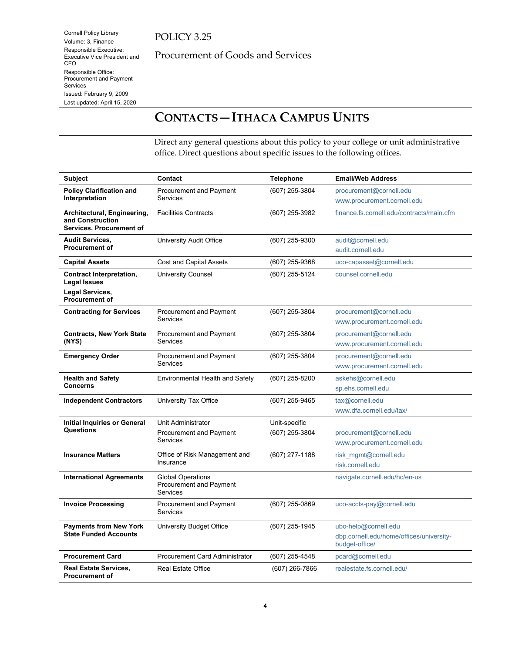Cornell Policy Library Volume: 3, Finance Responsible Executive: Executive Vice President and

Responsible Office: Procurement and Payment

Issued: February 9, 2009 Last updated: April 15, 2020

CFO

Services

Procurement of Goods and Services

# <span id="page-3-0"></span>**CONTACTS—ITHACA CAMPUS UNITS**

Direct any general questions about this policy to your college or unit administrative office. Direct questions about specific issues to the following offices.

| <b>Subject</b>                                                              | Contact                                                                 | <b>Telephone</b>                | <b>Email/Web Address</b>                                                           |
|-----------------------------------------------------------------------------|-------------------------------------------------------------------------|---------------------------------|------------------------------------------------------------------------------------|
| <b>Policy Clarification and</b><br>Interpretation                           | <b>Procurement and Payment</b><br><b>Services</b>                       | (607) 255-3804                  | procurement@cornell.edu<br>www.procurement.cornell.edu                             |
| Architectural, Engineering,<br>and Construction<br>Services, Procurement of | <b>Facilities Contracts</b>                                             | (607) 255-3982                  | finance.fs.cornell.edu/contracts/main.cfm                                          |
| <b>Audit Services,</b><br><b>Procurement of</b>                             | University Audit Office                                                 | (607) 255-9300                  | audit@cornell.edu<br>audit.cornell.edu                                             |
| <b>Capital Assets</b>                                                       | <b>Cost and Capital Assets</b>                                          | (607) 255-9368                  | uco-capasset@cornell.edu                                                           |
| <b>Contract Interpretation,</b><br><b>Legal Issues</b>                      | University Counsel                                                      | (607) 255-5124                  | counsel.cornell.edu                                                                |
| Legal Services,<br><b>Procurement of</b>                                    |                                                                         |                                 |                                                                                    |
| <b>Contracting for Services</b>                                             | Procurement and Payment<br><b>Services</b>                              | (607) 255-3804                  | procurement@cornell.edu<br>www.procurement.cornell.edu                             |
| <b>Contracts, New York State</b><br>(NYS)                                   | <b>Procurement and Payment</b><br><b>Services</b>                       | (607) 255-3804                  | procurement@cornell.edu<br>www.procurement.cornell.edu                             |
| <b>Emergency Order</b>                                                      | Procurement and Payment<br><b>Services</b>                              | (607) 255-3804                  | procurement@cornell.edu<br>www.procurement.cornell.edu                             |
| <b>Health and Safety</b><br><b>Concerns</b>                                 | <b>Environmental Health and Safety</b>                                  | (607) 255-8200                  | askehs@cornell.edu<br>sp.ehs.cornell.edu                                           |
| <b>Independent Contractors</b>                                              | University Tax Office                                                   | (607) 255-9465                  | tax@cornell.edu<br>www.dfa.cornell.edu/tax/                                        |
| <b>Initial Inquiries or General</b><br>Questions                            | Unit Administrator<br><b>Procurement and Payment</b><br><b>Services</b> | Unit-specific<br>(607) 255-3804 | procurement@cornell.edu<br>www.procurement.cornell.edu                             |
| <b>Insurance Matters</b>                                                    | Office of Risk Management and<br>Insurance                              | (607) 277-1188                  | risk mgmt@cornell.edu<br>risk.cornell.edu                                          |
| <b>International Agreements</b>                                             | <b>Global Operations</b><br>Procurement and Payment<br><b>Services</b>  |                                 | navigate.cornell.edu/hc/en-us                                                      |
| <b>Invoice Processing</b>                                                   | Procurement and Payment<br><b>Services</b>                              | (607) 255-0869                  | uco-accts-pay@cornell.edu                                                          |
| <b>Payments from New York</b><br><b>State Funded Accounts</b>               | University Budget Office                                                | (607) 255-1945                  | ubo-help@cornell.edu<br>dbp.cornell.edu/home/offices/university-<br>budget-office/ |
| <b>Procurement Card</b>                                                     | <b>Procurement Card Administrator</b>                                   | (607) 255-4548                  | pcard@cornell.edu                                                                  |
| <b>Real Estate Services,</b><br><b>Procurement of</b>                       | <b>Real Estate Office</b>                                               | (607) 266-7866                  | realestate.fs.cornell.edu/                                                         |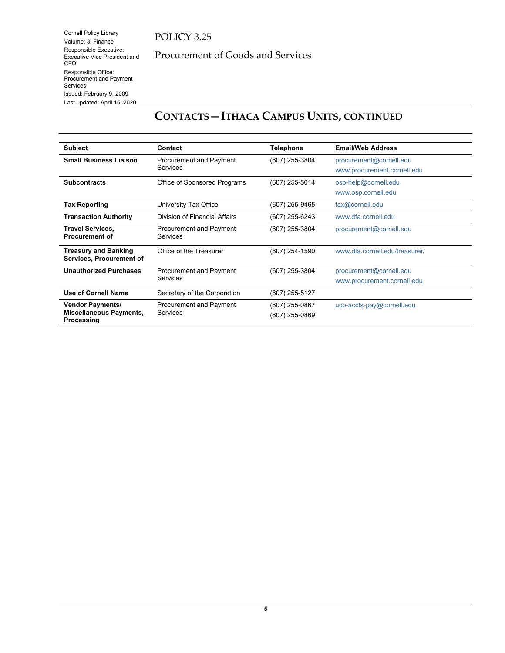## POLICY 3.25

Procurement of Goods and Services

# **CONTACTS—ITHACA CAMPUS UNITS, CONTINUED**

| <b>Subject</b>                                           | Contact                       | <b>Telephone</b> | <b>Email/Web Address</b>       |
|----------------------------------------------------------|-------------------------------|------------------|--------------------------------|
| <b>Small Business Liaison</b>                            | Procurement and Payment       | (607) 255-3804   | procurement@cornell.edu        |
|                                                          | Services                      |                  | www.procurement.cornell.edu    |
| <b>Subcontracts</b>                                      | Office of Sponsored Programs  | (607) 255-5014   | osp-help@cornell.edu           |
|                                                          |                               |                  | www.osp.cornell.edu            |
| <b>Tax Reporting</b>                                     | University Tax Office         | (607) 255-9465   | tax@cornell.edu                |
| <b>Transaction Authority</b>                             | Division of Financial Affairs | (607) 255-6243   | www.dfa.cornell.edu            |
| <b>Travel Services,</b>                                  | Procurement and Payment       | (607) 255-3804   | procurement@cornell.edu        |
| <b>Procurement of</b>                                    | <b>Services</b>               |                  |                                |
| <b>Treasury and Banking</b>                              | Office of the Treasurer       | (607) 254-1590   | www.dfa.cornell.edu/treasurer/ |
| Services, Procurement of                                 |                               |                  |                                |
| <b>Unauthorized Purchases</b>                            | Procurement and Payment       | (607) 255-3804   | procurement@cornell.edu        |
|                                                          | <b>Services</b>               |                  | www.procurement.cornell.edu    |
| <b>Use of Cornell Name</b>                               | Secretary of the Corporation  | (607) 255-5127   |                                |
| <b>Vendor Payments/</b>                                  | Procurement and Payment       | (607) 255-0867   | uco-accts-pay@cornell.edu      |
| <b>Miscellaneous Payments,</b><br>Services<br>Processing | (607) 255-0869                |                  |                                |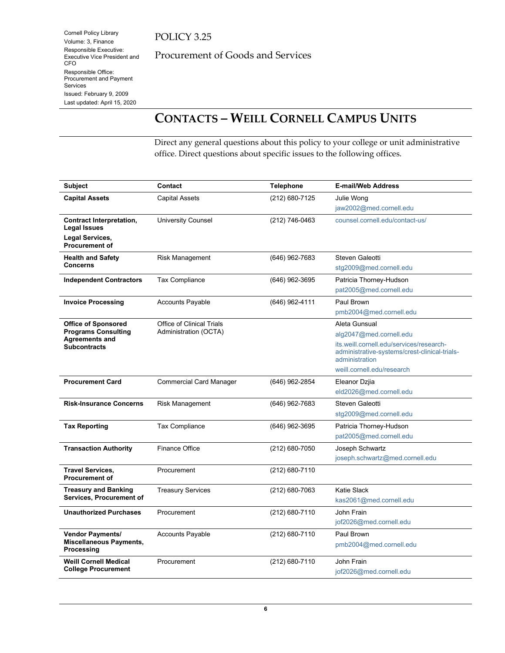## POLICY 3.25

Procurement of Goods and Services

# <span id="page-5-0"></span>**CONTACTS – WEILL CORNELL CAMPUS UNITS**

Direct any general questions about this policy to your college or unit administrative office. Direct questions about specific issues to the following offices.

| <b>Subject</b>                                                                                           | Contact                                                   | <b>Telephone</b> | <b>E-mail/Web Address</b>                                                                                                                                                             |
|----------------------------------------------------------------------------------------------------------|-----------------------------------------------------------|------------------|---------------------------------------------------------------------------------------------------------------------------------------------------------------------------------------|
| <b>Capital Assets</b>                                                                                    | <b>Capital Assets</b>                                     | (212) 680-7125   | Julie Wong<br>jaw2002@med.cornell.edu                                                                                                                                                 |
| <b>Contract Interpretation,</b><br><b>Legal Issues</b>                                                   | <b>University Counsel</b>                                 | (212) 746-0463   | counsel.cornell.edu/contact-us/                                                                                                                                                       |
| Legal Services,<br><b>Procurement of</b>                                                                 |                                                           |                  |                                                                                                                                                                                       |
| <b>Health and Safety</b><br><b>Concerns</b>                                                              | <b>Risk Management</b>                                    | (646) 962-7683   | Steven Galeotti<br>stg2009@med.cornell.edu                                                                                                                                            |
| <b>Independent Contractors</b>                                                                           | <b>Tax Compliance</b>                                     | (646) 962-3695   | Patricia Thorney-Hudson<br>pat2005@med.cornell.edu                                                                                                                                    |
| <b>Invoice Processing</b>                                                                                | <b>Accounts Payable</b>                                   | (646) 962-4111   | Paul Brown<br>pmb2004@med.cornell.edu                                                                                                                                                 |
| <b>Office of Sponsored</b><br><b>Programs Consulting</b><br><b>Agreements and</b><br><b>Subcontracts</b> | <b>Office of Clinical Trials</b><br>Administration (OCTA) |                  | Aleta Gunsual<br>alg2047@med.cornell.edu<br>its.weill.cornell.edu/services/research-<br>administrative-systems/crest-clinical-trials-<br>administration<br>weill.cornell.edu/research |
| <b>Procurement Card</b>                                                                                  | <b>Commercial Card Manager</b>                            | (646) 962-2854   | Eleanor Dzjia<br>eld2026@med.cornell.edu                                                                                                                                              |
| <b>Risk-Insurance Concerns</b>                                                                           | <b>Risk Management</b>                                    | (646) 962-7683   | Steven Galeotti<br>stg2009@med.cornell.edu                                                                                                                                            |
| <b>Tax Reporting</b>                                                                                     | <b>Tax Compliance</b>                                     | (646) 962-3695   | Patricia Thorney-Hudson<br>pat2005@med.cornell.edu                                                                                                                                    |
| <b>Transaction Authority</b>                                                                             | Finance Office                                            | (212) 680-7050   | Joseph Schwartz<br>joseph.schwartz@med.cornell.edu                                                                                                                                    |
| <b>Travel Services.</b><br><b>Procurement of</b>                                                         | Procurement                                               | (212) 680-7110   |                                                                                                                                                                                       |
| <b>Treasury and Banking</b><br><b>Services, Procurement of</b>                                           | <b>Treasury Services</b>                                  | $(212)$ 680-7063 | Katie Slack<br>kas2061@med.cornell.edu                                                                                                                                                |
| <b>Unauthorized Purchases</b>                                                                            | Procurement                                               | (212) 680-7110   | John Frain<br>jof2026@med.cornell.edu                                                                                                                                                 |
| <b>Vendor Payments/</b><br>Miscellaneous Payments,<br>Processing                                         | Accounts Payable                                          | (212) 680-7110   | Paul Brown<br>pmb2004@med.cornell.edu                                                                                                                                                 |
| <b>Weill Cornell Medical</b><br><b>College Procurement</b>                                               | Procurement                                               | (212) 680-7110   | John Frain<br>jof2026@med.cornell.edu                                                                                                                                                 |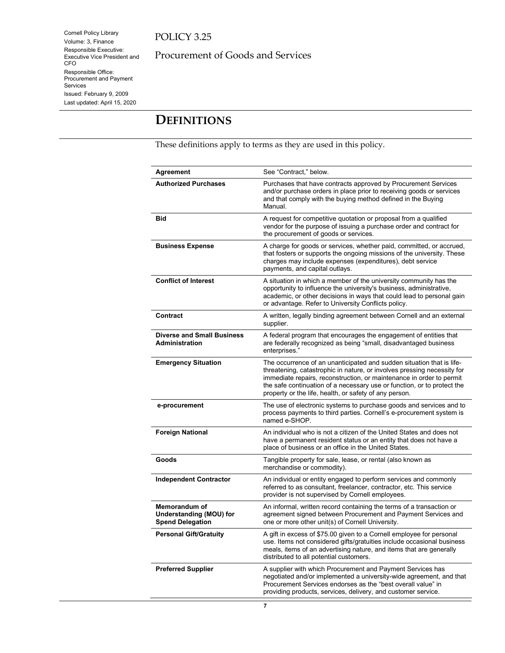Cornell Policy Library Volume: 3, Finance Responsible Executive: Executive Vice President and CFO Responsible Office: Procurement and Payment Services Issued: February 9, 2009 Last updated: April 15, 2020

Procurement of Goods and Services

# <span id="page-6-0"></span>**DEFINITIONS**

These definitions apply to terms as they are used in this policy.

| Agreement                                                                  | See "Contract," below.                                                                                                                                                                                                                                                                                                                                        |
|----------------------------------------------------------------------------|---------------------------------------------------------------------------------------------------------------------------------------------------------------------------------------------------------------------------------------------------------------------------------------------------------------------------------------------------------------|
| <b>Authorized Purchases</b>                                                | Purchases that have contracts approved by Procurement Services<br>and/or purchase orders in place prior to receiving goods or services<br>and that comply with the buying method defined in the Buying<br>Manual.                                                                                                                                             |
| Bid                                                                        | A request for competitive quotation or proposal from a qualified<br>vendor for the purpose of issuing a purchase order and contract for<br>the procurement of goods or services.                                                                                                                                                                              |
| <b>Business Expense</b>                                                    | A charge for goods or services, whether paid, committed, or accrued,<br>that fosters or supports the ongoing missions of the university. These<br>charges may include expenses (expenditures), debt service<br>payments, and capital outlays.                                                                                                                 |
| <b>Conflict of Interest</b>                                                | A situation in which a member of the university community has the<br>opportunity to influence the university's business, administrative,<br>academic, or other decisions in ways that could lead to personal gain<br>or advantage. Refer to University Conflicts policy.                                                                                      |
| <b>Contract</b>                                                            | A written, legally binding agreement between Cornell and an external<br>supplier.                                                                                                                                                                                                                                                                             |
| <b>Diverse and Small Business</b><br><b>Administration</b>                 | A federal program that encourages the engagement of entities that<br>are federally recognized as being "small, disadvantaged business<br>enterprises."                                                                                                                                                                                                        |
| <b>Emergency Situation</b>                                                 | The occurrence of an unanticipated and sudden situation that is life-<br>threatening, catastrophic in nature, or involves pressing necessity for<br>immediate repairs, reconstruction, or maintenance in order to permit<br>the safe continuation of a necessary use or function, or to protect the<br>property or the life, health, or safety of any person. |
| e-procurement                                                              | The use of electronic systems to purchase goods and services and to<br>process payments to third parties. Cornell's e-procurement system is<br>named e-SHOP.                                                                                                                                                                                                  |
| <b>Foreign National</b>                                                    | An individual who is not a citizen of the United States and does not<br>have a permanent resident status or an entity that does not have a<br>place of business or an office in the United States.                                                                                                                                                            |
| Goods                                                                      | Tangible property for sale, lease, or rental (also known as<br>merchandise or commodity).                                                                                                                                                                                                                                                                     |
| <b>Independent Contractor</b>                                              | An individual or entity engaged to perform services and commonly<br>referred to as consultant, freelancer, contractor, etc. This service<br>provider is not supervised by Cornell employees.                                                                                                                                                                  |
| Memorandum of<br><b>Understanding (MOU) for</b><br><b>Spend Delegation</b> | An informal, written record containing the terms of a transaction or<br>agreement signed between Procurement and Payment Services and<br>one or more other unit(s) of Cornell University.                                                                                                                                                                     |
| <b>Personal Gift/Gratuity</b>                                              | A gift in excess of \$75.00 given to a Cornell employee for personal<br>use. Items not considered gifts/gratuities include occasional business<br>meals, items of an advertising nature, and items that are generally<br>distributed to all potential customers.                                                                                              |
| <b>Preferred Supplier</b>                                                  | A supplier with which Procurement and Payment Services has<br>negotiated and/or implemented a university-wide agreement, and that<br>Procurement Services endorses as the "best overall value" in<br>providing products, services, delivery, and customer service.                                                                                            |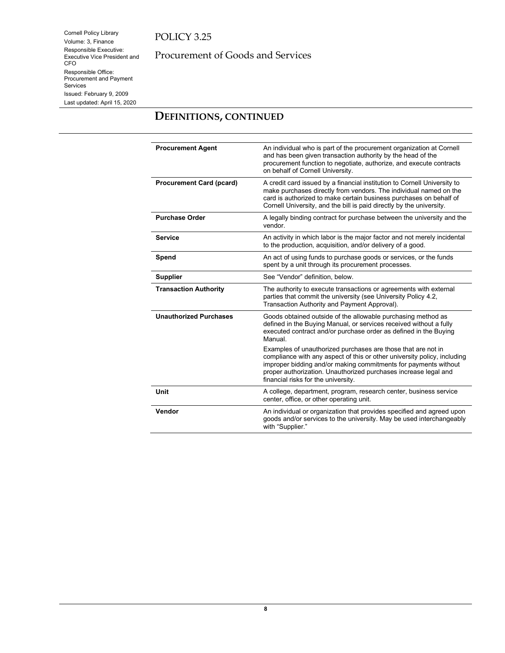Cornell Policy Library Volume: 3, Finance Responsible Executive: Executive Vice President and CFO Responsible Office: Procurement and Payment Services Issued: February 9, 2009 Last updated: April 15, 2020

## Procurement of Goods and Services

## **DEFINITIONS, CONTINUED**

| <b>Procurement Agent</b>        | An individual who is part of the procurement organization at Cornell<br>and has been given transaction authority by the head of the<br>procurement function to negotiate, authorize, and execute contracts<br>on behalf of Cornell University.                                                                        |
|---------------------------------|-----------------------------------------------------------------------------------------------------------------------------------------------------------------------------------------------------------------------------------------------------------------------------------------------------------------------|
| <b>Procurement Card (pcard)</b> | A credit card issued by a financial institution to Cornell University to<br>make purchases directly from vendors. The individual named on the<br>card is authorized to make certain business purchases on behalf of<br>Cornell University, and the bill is paid directly by the university.                           |
| <b>Purchase Order</b>           | A legally binding contract for purchase between the university and the<br>vendor.                                                                                                                                                                                                                                     |
| <b>Service</b>                  | An activity in which labor is the major factor and not merely incidental<br>to the production, acquisition, and/or delivery of a good.                                                                                                                                                                                |
| Spend                           | An act of using funds to purchase goods or services, or the funds<br>spent by a unit through its procurement processes.                                                                                                                                                                                               |
| <b>Supplier</b>                 | See "Vendor" definition, below.                                                                                                                                                                                                                                                                                       |
| <b>Transaction Authority</b>    | The authority to execute transactions or agreements with external<br>parties that commit the university (see University Policy 4.2,<br>Transaction Authority and Payment Approval).                                                                                                                                   |
| <b>Unauthorized Purchases</b>   | Goods obtained outside of the allowable purchasing method as<br>defined in the Buying Manual, or services received without a fully<br>executed contract and/or purchase order as defined in the Buying<br>Manual.                                                                                                     |
|                                 | Examples of unauthorized purchases are those that are not in<br>compliance with any aspect of this or other university policy, including<br>improper bidding and/or making commitments for payments without<br>proper authorization. Unauthorized purchases increase legal and<br>financial risks for the university. |
| Unit                            | A college, department, program, research center, business service<br>center, office, or other operating unit.                                                                                                                                                                                                         |
| Vendor                          | An individual or organization that provides specified and agreed upon<br>goods and/or services to the university. May be used interchangeably<br>with "Supplier."                                                                                                                                                     |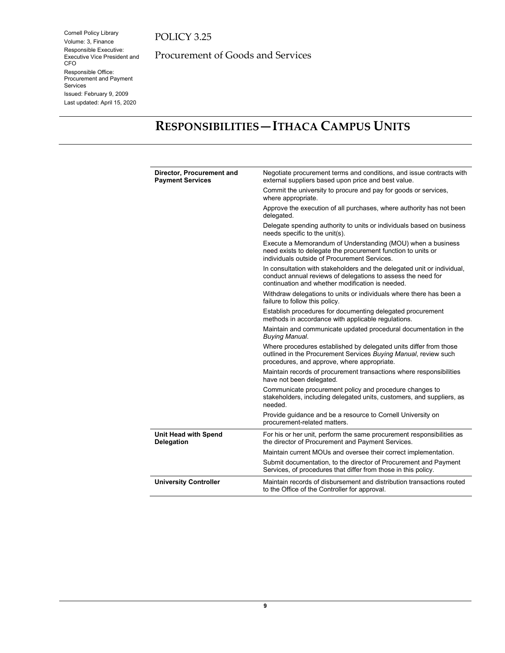Cornell Policy Library Volume: 3, Finance Responsible Executive: Executive Vice President and CFO Responsible Office: Procurement and Payment Services Issued: February 9, 2009 Last updated: April 15, 2020

Procurement of Goods and Services

# <span id="page-8-0"></span>**RESPONSIBILITIES—ITHACA CAMPUS UNITS**

| Director, Procurement and<br><b>Payment Services</b> | Negotiate procurement terms and conditions, and issue contracts with<br>external suppliers based upon price and best value.                                                                 |
|------------------------------------------------------|---------------------------------------------------------------------------------------------------------------------------------------------------------------------------------------------|
|                                                      | Commit the university to procure and pay for goods or services,<br>where appropriate.                                                                                                       |
|                                                      | Approve the execution of all purchases, where authority has not been<br>delegated.                                                                                                          |
|                                                      | Delegate spending authority to units or individuals based on business<br>needs specific to the unit(s).                                                                                     |
|                                                      | Execute a Memorandum of Understanding (MOU) when a business<br>need exists to delegate the procurement function to units or<br>individuals outside of Procurement Services.                 |
|                                                      | In consultation with stakeholders and the delegated unit or individual,<br>conduct annual reviews of delegations to assess the need for<br>continuation and whether modification is needed. |
|                                                      | Withdraw delegations to units or individuals where there has been a<br>failure to follow this policy.                                                                                       |
|                                                      | Establish procedures for documenting delegated procurement<br>methods in accordance with applicable regulations.                                                                            |
|                                                      | Maintain and communicate updated procedural documentation in the<br><b>Buying Manual.</b>                                                                                                   |
|                                                      | Where procedures established by delegated units differ from those<br>outlined in the Procurement Services Buying Manual, review such<br>procedures, and approve, where appropriate.         |
|                                                      | Maintain records of procurement transactions where responsibilities<br>have not been delegated.                                                                                             |
|                                                      | Communicate procurement policy and procedure changes to<br>stakeholders, including delegated units, customers, and suppliers, as<br>needed.                                                 |
|                                                      | Provide guidance and be a resource to Cornell University on<br>procurement-related matters.                                                                                                 |
| <b>Unit Head with Spend</b><br><b>Delegation</b>     | For his or her unit, perform the same procurement responsibilities as<br>the director of Procurement and Payment Services.                                                                  |
|                                                      | Maintain current MOUs and oversee their correct implementation.                                                                                                                             |
|                                                      | Submit documentation, to the director of Procurement and Payment<br>Services, of procedures that differ from those in this policy.                                                          |
| <b>University Controller</b>                         | Maintain records of disbursement and distribution transactions routed<br>to the Office of the Controller for approval.                                                                      |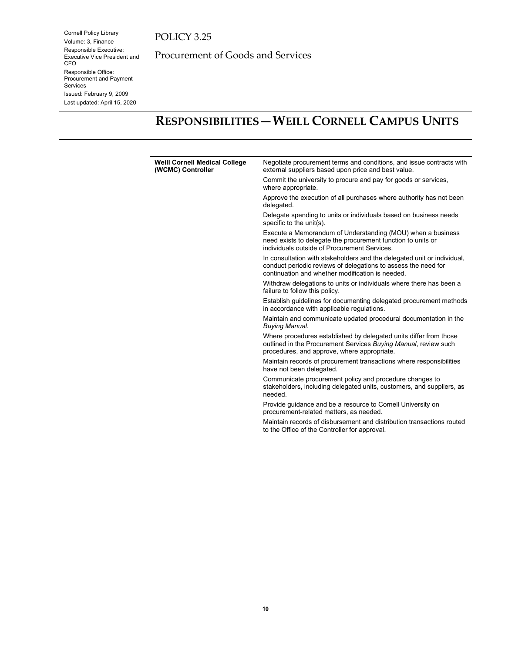Cornell Policy Library Volume: 3, Finance Responsible Executive: Executive Vice President and CFO Responsible Office: Procurement and Payment Services Issued: February 9, 2009 Last updated: April 15, 2020

Procurement of Goods and Services

# <span id="page-9-0"></span>**RESPONSIBILITIES—WEILL CORNELL CAMPUS UNITS**

| <b>Weill Cornell Medical College</b><br>(WCMC) Controller | Negotiate procurement terms and conditions, and issue contracts with<br>external suppliers based upon price and best value.                                                                   |
|-----------------------------------------------------------|-----------------------------------------------------------------------------------------------------------------------------------------------------------------------------------------------|
|                                                           | Commit the university to procure and pay for goods or services,<br>where appropriate.                                                                                                         |
|                                                           | Approve the execution of all purchases where authority has not been<br>delegated.                                                                                                             |
|                                                           | Delegate spending to units or individuals based on business needs<br>specific to the unit(s).                                                                                                 |
|                                                           | Execute a Memorandum of Understanding (MOU) when a business<br>need exists to delegate the procurement function to units or<br>individuals outside of Procurement Services.                   |
|                                                           | In consultation with stakeholders and the delegated unit or individual,<br>conduct periodic reviews of delegations to assess the need for<br>continuation and whether modification is needed. |
|                                                           | Withdraw delegations to units or individuals where there has been a<br>failure to follow this policy.                                                                                         |
|                                                           | Establish guidelines for documenting delegated procurement methods<br>in accordance with applicable regulations.                                                                              |
|                                                           | Maintain and communicate updated procedural documentation in the<br><b>Buying Manual.</b>                                                                                                     |
|                                                           | Where procedures established by delegated units differ from those<br>outlined in the Procurement Services Buying Manual, review such<br>procedures, and approve, where appropriate.           |
|                                                           | Maintain records of procurement transactions where responsibilities<br>have not been delegated.                                                                                               |
|                                                           | Communicate procurement policy and procedure changes to<br>stakeholders, including delegated units, customers, and suppliers, as<br>needed.                                                   |
|                                                           | Provide guidance and be a resource to Cornell University on<br>procurement-related matters, as needed.                                                                                        |
|                                                           | Maintain records of disbursement and distribution transactions routed<br>to the Office of the Controller for approval.                                                                        |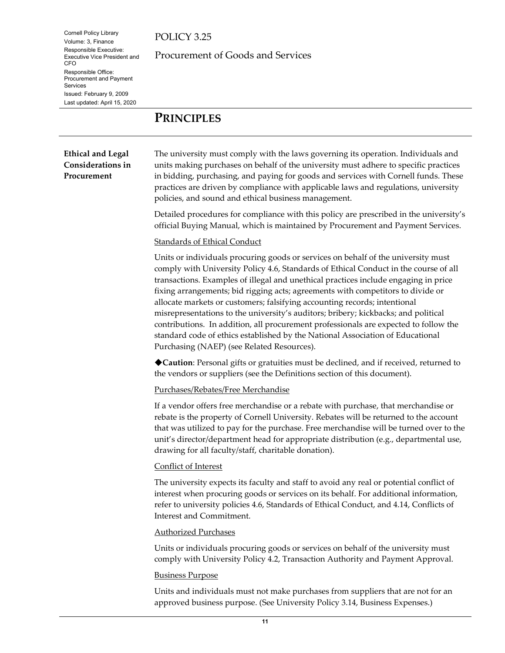POLICY 3.25

Procurement of Goods and Services

## <span id="page-10-0"></span>**PRINCIPLES**

### **Ethical and Legal Considerations in Procurement**

The university must comply with the laws governing its operation. Individuals and units making purchases on behalf of the university must adhere to specific practices in bidding, purchasing, and paying for goods and services with Cornell funds. These practices are driven by compliance with applicable laws and regulations, university policies, and sound and ethical business management.

Detailed procedures for compliance with this policy are prescribed in the university's official Buying Manual, which is maintained by Procurement and Payment Services.

### Standards of Ethical Conduct

Units or individuals procuring goods or services on behalf of the university must comply with University Policy 4.6, Standards of Ethical Conduct in the course of all transactions. Examples of illegal and unethical practices include engaging in price fixing arrangements; bid rigging acts; agreements with competitors to divide or allocate markets or customers; falsifying accounting records; intentional misrepresentations to the university's auditors; bribery; kickbacks; and political contributions. In addition, all procurement professionals are expected to follow the standard code of ethics established by the National Association of Educational Purchasing (NAEP) (see Related Resources).

**Caution**: Personal gifts or gratuities must be declined, and if received, returned to the vendors or suppliers (see the Definitions section of this document).

### Purchases/Rebates/Free Merchandise

If a vendor offers free merchandise or a rebate with purchase, that merchandise or rebate is the property of Cornell University. Rebates will be returned to the account that was utilized to pay for the purchase. Free merchandise will be turned over to the unit's director/department head for appropriate distribution (e.g., departmental use, drawing for all faculty/staff, charitable donation).

### Conflict of Interest

The university expects its faculty and staff to avoid any real or potential conflict of interest when procuring goods or services on its behalf. For additional information, refer to university policies 4.6, Standards of Ethical Conduct, and 4.14, Conflicts of Interest and Commitment.

### Authorized Purchases

Units or individuals procuring goods or services on behalf of the university must comply with University Policy 4.2, Transaction Authority and Payment Approval.

### Business Purpose

Units and individuals must not make purchases from suppliers that are not for an approved business purpose. (See University Policy 3.14, Business Expenses.)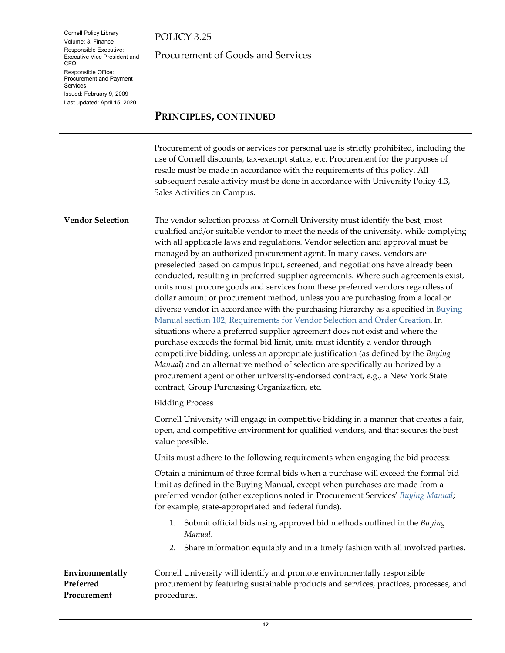Cornell Policy Library Volume: 3, Finance Responsible Executive: Executive Vice President and

Responsible Office: Procurement and Payment

Issued: February 9, 2009 Last updated: April 15, 2020

CFO

Services

Procurement of Goods and Services

## **PRINCIPLES, CONTINUED**

Procurement of goods or services for personal use is strictly prohibited, including the use of Cornell discounts, tax-exempt status, etc. Procurement for the purposes of resale must be made in accordance with the requirements of this policy. All subsequent resale activity must be done in accordance with University Policy 4.3, Sales Activities on Campus.

<span id="page-11-0"></span>**Vendor Selection** The vendor selection process at Cornell University must identify the best, most qualified and/or suitable vendor to meet the needs of the university, while complying with all applicable laws and regulations. Vendor selection and approval must be managed by an authorized procurement agent. In many cases, vendors are preselected based on campus input, screened, and negotiations have already been conducted, resulting in preferred supplier agreements. Where such agreements exist, units must procure goods and services from these preferred vendors regardless of dollar amount or procurement method, unless you are purchasing from a local or diverse vendor in accordance with the purchasing hierarchy as a specified i[n Buying](https://www.dfa.cornell.edu/procurement/buyers/manual/general)  [Manual section 102, Requirements for Vendor Selection and Order Creation.](https://www.dfa.cornell.edu/procurement/buyers/manual/general) In situations where a preferred supplier agreement does not exist and where the purchase exceeds the formal bid limit, units must identify a vendor through competitive bidding, unless an appropriate justification (as defined by the *Buying Manual*) and an alternative method of selection are specifically authorized by a procurement agent or other university-endorsed contract, e.g., a New York State contract, Group Purchasing Organization, etc.

### Bidding Process

Cornell University will engage in competitive bidding in a manner that creates a fair, open, and competitive environment for qualified vendors, and that secures the best value possible.

Units must adhere to the following requirements when engaging the bid process:

Obtain a minimum of three formal bids when a purchase will exceed the formal bid limit as defined in the Buying Manual, except when purchases are made from a preferred vendor (other exceptions noted in Procurement Services' *[Buying Manual](https://www.dfa.cornell.edu/procurement/buyers/manual/)*; for example, state-appropriated and federal funds).

- 1. Submit official bids using approved bid methods outlined in the *Buying Manual*.
- 2. Share information equitably and in a timely fashion with all involved parties.

<span id="page-11-1"></span>**Environmentally Preferred Procurement** Cornell University will identify and promote environmentally responsible procurement by featuring sustainable products and services, practices, processes, and procedures.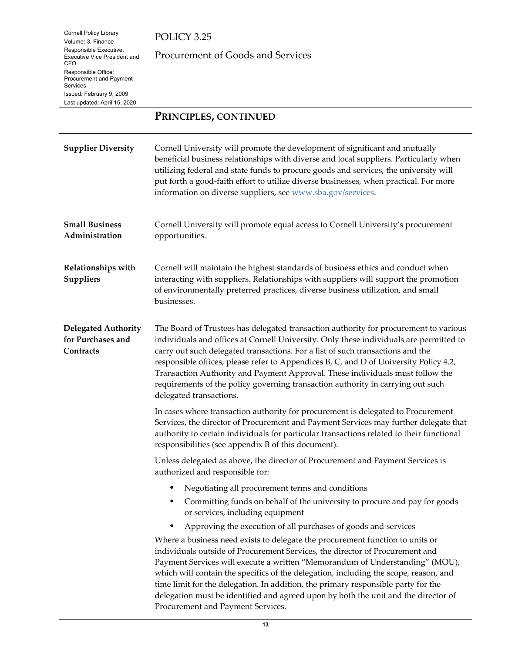## POLICY 3.25

Procurement of Goods and Services

## **PRINCIPLES, CONTINUED**

<span id="page-12-2"></span><span id="page-12-1"></span><span id="page-12-0"></span>

| <b>Supplier Diversity</b>                                    | Cornell University will promote the development of significant and mutually<br>beneficial business relationships with diverse and local suppliers. Particularly when<br>utilizing federal and state funds to procure goods and services, the university will<br>put forth a good-faith effort to utilize diverse businesses, when practical. For more<br>information on diverse suppliers, see www.sba.gov/services.                                                                                                                                     |
|--------------------------------------------------------------|----------------------------------------------------------------------------------------------------------------------------------------------------------------------------------------------------------------------------------------------------------------------------------------------------------------------------------------------------------------------------------------------------------------------------------------------------------------------------------------------------------------------------------------------------------|
| <b>Small Business</b><br>Administration                      | Cornell University will promote equal access to Cornell University's procurement<br>opportunities.                                                                                                                                                                                                                                                                                                                                                                                                                                                       |
| Relationships with<br>Suppliers                              | Cornell will maintain the highest standards of business ethics and conduct when<br>interacting with suppliers. Relationships with suppliers will support the promotion<br>of environmentally preferred practices, diverse business utilization, and small<br>businesses.                                                                                                                                                                                                                                                                                 |
| <b>Delegated Authority</b><br>for Purchases and<br>Contracts | The Board of Trustees has delegated transaction authority for procurement to various<br>individuals and offices at Cornell University. Only these individuals are permitted to<br>carry out such delegated transactions. For a list of such transactions and the<br>responsible offices, please refer to Appendices B, C, and D of University Policy 4.2,<br>Transaction Authority and Payment Approval. These individuals must follow the<br>requirements of the policy governing transaction authority in carrying out such<br>delegated transactions. |
|                                                              | In cases where transaction authority for procurement is delegated to Procurement<br>Services, the director of Procurement and Payment Services may further delegate that<br>authority to certain individuals for particular transactions related to their functional<br>responsibilities (see appendix B of this document).                                                                                                                                                                                                                              |
|                                                              | Unless delegated as above, the director of Procurement and Payment Services is<br>authorized and responsible for:                                                                                                                                                                                                                                                                                                                                                                                                                                        |
|                                                              | Negotiating all procurement terms and conditions<br>٠                                                                                                                                                                                                                                                                                                                                                                                                                                                                                                    |
|                                                              | Committing funds on behalf of the university to procure and pay for goods<br>٠<br>or services, including equipment                                                                                                                                                                                                                                                                                                                                                                                                                                       |
|                                                              | Approving the execution of all purchases of goods and services<br>٠                                                                                                                                                                                                                                                                                                                                                                                                                                                                                      |
|                                                              | Where a business need exists to delegate the procurement function to units or<br>individuals outside of Procurement Services, the director of Procurement and<br>Payment Services will execute a written "Memorandum of Understanding" (MOU),<br>which will contain the specifics of the delegation, including the scope, reason, and<br>time limit for the delegation. In addition, the primary responsible party for the<br>delegation must be identified and agreed upon by both the unit and the director of<br>Procurement and Payment Services.    |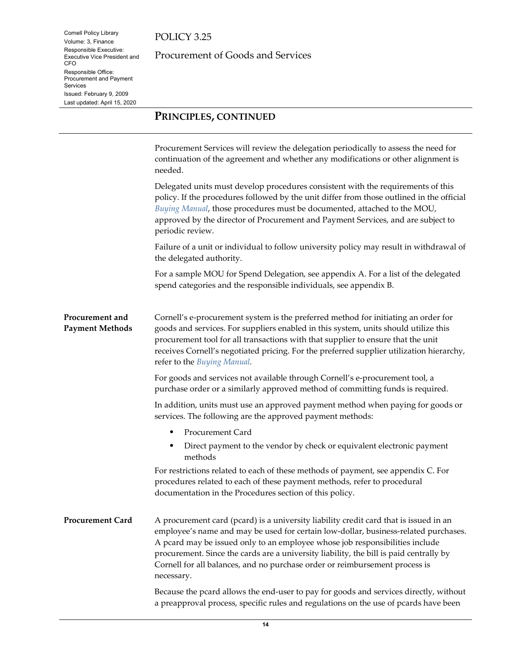Cornell Policy Library Volume: 3, Finance Responsible Executive: Executive Vice President and

CFO

Services

Responsible Office: Procurement and Payment

Issued: February 9, 2009 Last updated: April 15, 2020 POLICY 3.25

Procurement of Goods and Services

### **PRINCIPLES, CONTINUED**

<span id="page-13-0"></span>Procurement Services will review the delegation periodically to assess the need for continuation of the agreement and whether any modifications or other alignment is needed. Delegated units must develop procedures consistent with the requirements of this policy. If the procedures followed by the unit differ from those outlined in the official *[Buying Manual](https://www.dfa.cornell.edu/procurement/buyers/manual/)*, those procedures must be documented, attached to the MOU, approved by the director of Procurement and Payment Services, and are subject to periodic review. Failure of a unit or individual to follow university policy may result in withdrawal of the delegated authority. For a sample MOU for Spend Delegation, see appendix A. For a list of the delegated spend categories and the responsible individuals, see appendix B. **Procurement and Payment Methods** Cornell's e-procurement system is the preferred method for initiating an order for goods and services. For suppliers enabled in this system, units should utilize this procurement tool for all transactions with that supplier to ensure that the unit receives Cornell's negotiated pricing. For the preferred supplier utilization hierarchy, refer to the *[Buying Manual.](https://www.dfa.cornell.edu/procurement/buyers/manual/)* For goods and services not available through Cornell's e-procurement tool, a purchase order or a similarly approved method of committing funds is required. In addition, units must use an approved payment method when paying for goods or services. The following are the approved payment methods: Procurement Card Direct payment to the vendor by check or equivalent electronic payment methods For restrictions related to each of these methods of payment, see appendix C. For procedures related to each of these payment methods, refer to procedural documentation in the Procedures section of this policy. **Procurement Card** A procurement card (pcard) is a university liability credit card that is issued in an employee's name and may be used for certain low-dollar, business-related purchases. A pcard may be issued only to an employee whose job responsibilities include procurement. Since the cards are a university liability, the bill is paid centrally by Cornell for all balances, and no purchase order or reimbursement process is necessary. Because the pcard allows the end-user to pay for goods and services directly, without

<span id="page-13-1"></span>a preapproval process, specific rules and regulations on the use of pcards have been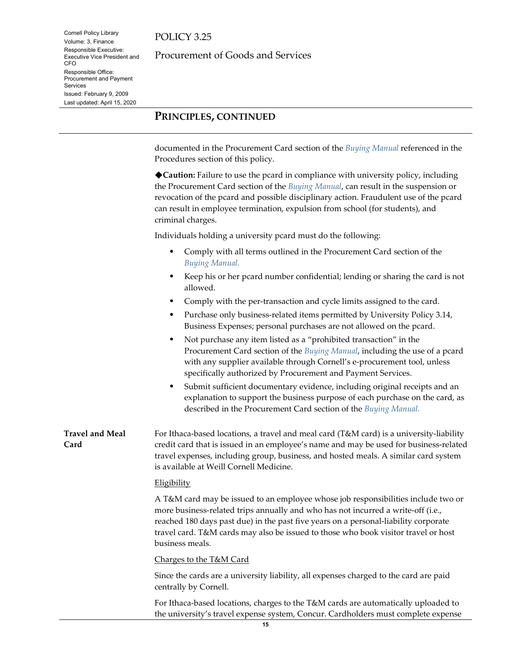Cornell Policy Library Volume: 3, Finance Responsible Executive: Executive Vice President and

Responsible Office: Procurement and Payment

Issued: February 9, 2009 Last updated: April 15, 2020

CFO

Services

Procurement of Goods and Services

## **PRINCIPLES, CONTINUED**

documented in the Procurement Card section of the *[Buying Manual](https://www.dfa.cornell.edu/procurement/buyers/manual/)* referenced in the Procedures section of this policy.

**Caution:** Failure to use the pcard in compliance with university policy, including the Procurement Card section of the *[Buying Manual](https://www.dfa.cornell.edu/procurement/buyers/manual/)*, can result in the suspension or revocation of the pcard and possible disciplinary action. Fraudulent use of the pcard can result in employee termination, expulsion from school (for students), and criminal charges.

Individuals holding a university pcard must do the following:

- Comply with all terms outlined in the Procurement Card section of the *[Buying Manual.](https://www.dfa.cornell.edu/procurement/buyers/manual/)*
- Keep his or her pcard number confidential; lending or sharing the card is not allowed.
- Comply with the per-transaction and cycle limits assigned to the card.
- Purchase only business-related items permitted by University Policy 3.14, Business Expenses; personal purchases are not allowed on the pcard.
- Not purchase any item listed as a "prohibited transaction" in the Procurement Card section of the *[Buying Manual](https://www.dfa.cornell.edu/procurement/buyers/manual/)*, including the use of a pcard with any supplier available through Cornell's e-procurement tool, unless specifically authorized by Procurement and Payment Services.
- Submit sufficient documentary evidence, including original receipts and an explanation to support the business purpose of each purchase on the card, as described in the Procurement Card section of the *[Buying Manual.](https://www.dfa.cornell.edu/procurement/buyers/manual/)*

<span id="page-14-0"></span>**Travel and Meal Card** For Ithaca-based locations, a travel and meal card (T&M card) is a university-liability credit card that is issued in an employee's name and may be used for business-related travel expenses, including group, business, and hosted meals. A similar card system is available at Weill Cornell Medicine.

### **Eligibility**

A T&M card may be issued to an employee whose job responsibilities include two or more business-related trips annually and who has not incurred a write-off (i.e., reached 180 days past due) in the past five years on a personal-liability corporate travel card. T&M cards may also be issued to those who book visitor travel or host business meals.

Charges to the T&M Card

Since the cards are a university liability, all expenses charged to the card are paid centrally by Cornell.

For Ithaca-based locations, charges to the T&M cards are automatically uploaded to the university's travel expense system, Concur. Cardholders must complete expense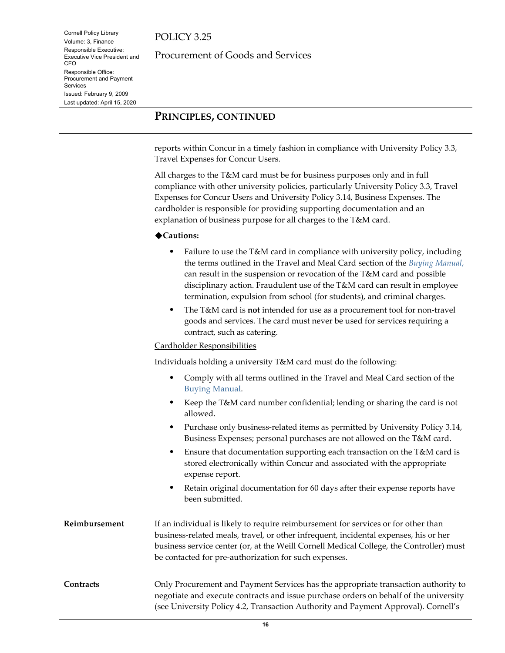Cornell Policy Library Volume: 3, Finance Responsible Executive: Executive Vice President and

Responsible Office: Procurement and Payment

Issued: February 9, 2009 Last updated: April 15, 2020

CFO

Services

Procurement of Goods and Services

## **PRINCIPLES, CONTINUED**

reports within Concur in a timely fashion in compliance with University Policy 3.3, Travel Expenses for Concur Users.

All charges to the T&M card must be for business purposes only and in full compliance with other university policies, particularly University Policy 3.3, Travel Expenses for Concur Users and University Policy 3.14, Business Expenses. The cardholder is responsible for providing supporting documentation and an explanation of business purpose for all charges to the T&M card.

### **Cautions:**

- Failure to use the T&M card in compliance with university policy, including the terms outlined in the Travel and Meal Card section of the *[Buying Manual](https://www.dfa.cornell.edu/procurement/buyers/manual/)*, can result in the suspension or revocation of the T&M card and possible disciplinary action. Fraudulent use of the T&M card can result in employee termination, expulsion from school (for students), and criminal charges.
- The T&M card is **not** intended for use as a procurement tool for non-travel goods and services. The card must never be used for services requiring a contract, such as catering.

### Cardholder Responsibilities

Individuals holding a university T&M card must do the following:

- Comply with all terms outlined in the Travel and Meal Card section of the [Buying Manual.](https://www.dfa.cornell.edu/procurement/buyers/manual/)
- Keep the T&M card number confidential; lending or sharing the card is not allowed.
- Purchase only business-related items as permitted by University Policy 3.14, Business Expenses; personal purchases are not allowed on the T&M card.
- Ensure that documentation supporting each transaction on the T&M card is stored electronically within Concur and associated with the appropriate expense report.
- Retain original documentation for 60 days after their expense reports have been submitted.
- **Reimbursement** If an individual is likely to require reimbursement for services or for other than business-related meals, travel, or other infrequent, incidental expenses, his or her business service center (or, at the Weill Cornell Medical College, the Controller) must be contacted for pre-authorization for such expenses.
- <span id="page-15-0"></span>**Contracts** Only Procurement and Payment Services has the appropriate transaction authority to negotiate and execute contracts and issue purchase orders on behalf of the university (see University Policy 4.2, Transaction Authority and Payment Approval). Cornell's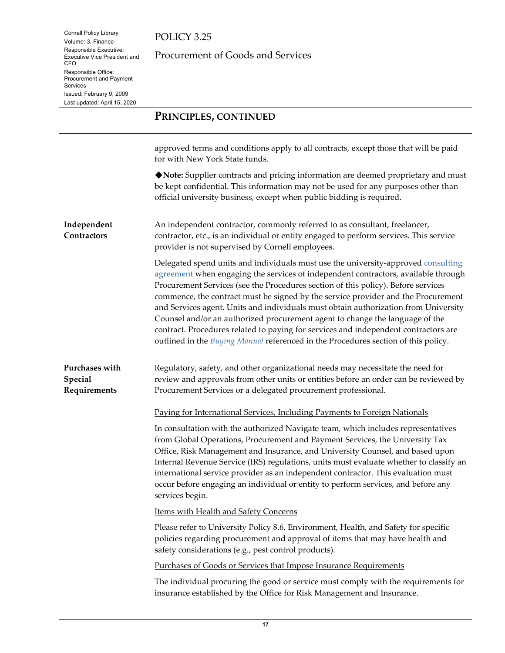## POLICY 3.25

Procurement of Goods and Services

## **PRINCIPLES, CONTINUED**

approved terms and conditions apply to all contracts, except those that will be paid for with New York State funds.

**Note:** Supplier contracts and pricing information are deemed proprietary and must be kept confidential. This information may not be used for any purposes other than official university business, except when public bidding is required.

<span id="page-16-0"></span>**Independent Contractors** An independent contractor, commonly referred to as consultant, freelancer, contractor, etc., is an individual or entity engaged to perform services. This service provider is not supervised by Cornell employees.

> Delegated spend units and individuals must use the university-approved [consulting](https://www.dfa.cornell.edu/procurement/tools-forms/forms/contracts) [agreement](https://www.dfa.cornell.edu/procurement/tools-forms/forms/contracts) when engaging the services of independent contractors, available through Procurement Services (see the Procedures section of this policy). Before services commence, the contract must be signed by the service provider and the Procurement and Services agent. Units and individuals must obtain authorization from University Counsel and/or an authorized procurement agent to change the language of the contract. Procedures related to paying for services and independent contractors are outlined in the *[Buying Manual](https://www.dfa.cornell.edu/procurement/buyers/manual/)* referenced in the Procedures section of this policy.

<span id="page-16-1"></span>**Purchases with Special Requirements** Regulatory, safety, and other organizational needs may necessitate the need for review and approvals from other units or entities before an order can be reviewed by Procurement Services or a delegated procurement professional.

Paying for International Services, Including Payments to Foreign Nationals

In consultation with the authorized Navigate team, which includes representatives from Global Operations, Procurement and Payment Services, the University Tax Office, Risk Management and Insurance, and University Counsel, and based upon Internal Revenue Service (IRS) regulations, units must evaluate whether to classify an international service provider as an independent contractor. This evaluation must occur before engaging an individual or entity to perform services, and before any services begin.

Items with Health and Safety Concerns

Please refer to University Policy 8.6, Environment, Health, and Safety for specific policies regarding procurement and approval of items that may have health and safety considerations (e.g., pest control products).

Purchases of Goods or Services that Impose Insurance Requirements

The individual procuring the good or service must comply with the requirements for insurance established by the Office for Risk Management and Insurance.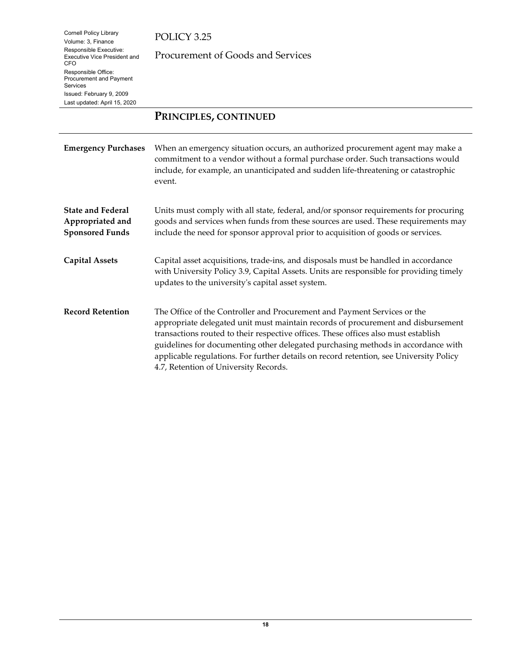## POLICY 3.25

Procurement of Goods and Services

## **PRINCIPLES, CONTINUED**

<span id="page-17-3"></span><span id="page-17-2"></span><span id="page-17-1"></span><span id="page-17-0"></span>

| <b>Emergency Purchases</b>                                             | When an emergency situation occurs, an authorized procurement agent may make a<br>commitment to a vendor without a formal purchase order. Such transactions would<br>include, for example, an unanticipated and sudden life-threatening or catastrophic<br>event.                                                                                                                                                                                                         |
|------------------------------------------------------------------------|---------------------------------------------------------------------------------------------------------------------------------------------------------------------------------------------------------------------------------------------------------------------------------------------------------------------------------------------------------------------------------------------------------------------------------------------------------------------------|
| <b>State and Federal</b><br>Appropriated and<br><b>Sponsored Funds</b> | Units must comply with all state, federal, and/or sponsor requirements for procuring<br>goods and services when funds from these sources are used. These requirements may<br>include the need for sponsor approval prior to acquisition of goods or services.                                                                                                                                                                                                             |
| <b>Capital Assets</b>                                                  | Capital asset acquisitions, trade-ins, and disposals must be handled in accordance<br>with University Policy 3.9, Capital Assets. Units are responsible for providing timely<br>updates to the university's capital asset system.                                                                                                                                                                                                                                         |
| <b>Record Retention</b>                                                | The Office of the Controller and Procurement and Payment Services or the<br>appropriate delegated unit must maintain records of procurement and disbursement<br>transactions routed to their respective offices. These offices also must establish<br>guidelines for documenting other delegated purchasing methods in accordance with<br>applicable regulations. For further details on record retention, see University Policy<br>4.7, Retention of University Records. |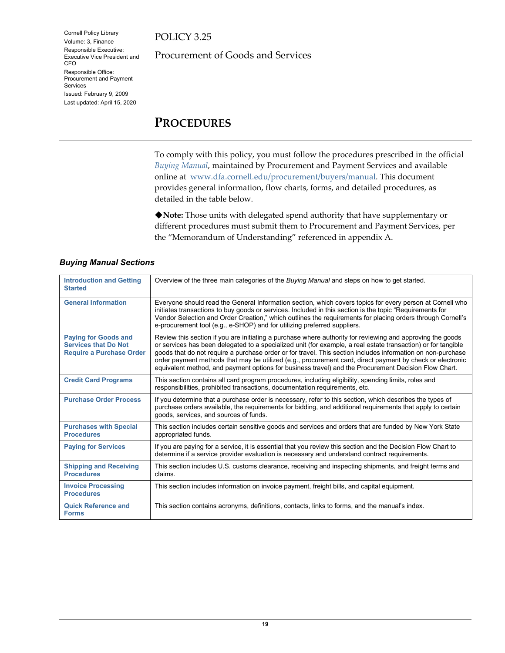POLICY 3.25

Procurement of Goods and Services

## <span id="page-18-0"></span>**PROCEDURES**

To comply with this policy, you must follow the procedures prescribed in the official *[Buying Manual](https://www.dfa.cornell.edu/procurement/buyers/manual/)*, maintained by Procurement and Payment Services and available online at [www.dfa.cornell.edu/procurement/buyers/manual.](http://www.dfa.cornell.edu/procurement/buyers/manual) This document provides general information, flow charts, forms, and detailed procedures, as detailed in the table below.

**Note:** Those units with delegated spend authority that have supplementary or different procedures must submit them to Procurement and Payment Services, per the "Memorandum of Understanding" referenced in appendix A.

| <b>Introduction and Getting</b><br><b>Started</b>                                             | Overview of the three main categories of the Buying Manual and steps on how to get started.                                                                                                                                                                                                                                                                                                                                                                                                                                                                     |
|-----------------------------------------------------------------------------------------------|-----------------------------------------------------------------------------------------------------------------------------------------------------------------------------------------------------------------------------------------------------------------------------------------------------------------------------------------------------------------------------------------------------------------------------------------------------------------------------------------------------------------------------------------------------------------|
| <b>General Information</b>                                                                    | Everyone should read the General Information section, which covers topics for every person at Cornell who<br>initiates transactions to buy goods or services. Included in this section is the topic "Requirements for<br>Vendor Selection and Order Creation," which outlines the requirements for placing orders through Cornell's<br>e-procurement tool (e.g., e-SHOP) and for utilizing preferred suppliers.                                                                                                                                                 |
| <b>Paying for Goods and</b><br><b>Services that Do Not</b><br><b>Require a Purchase Order</b> | Review this section if you are initiating a purchase where authority for reviewing and approving the goods<br>or services has been delegated to a specialized unit (for example, a real estate transaction) or for tangible<br>goods that do not require a purchase order or for travel. This section includes information on non-purchase<br>order payment methods that may be utilized (e.g., procurement card, direct payment by check or electronic<br>equivalent method, and payment options for business travel) and the Procurement Decision Flow Chart. |
| <b>Credit Card Programs</b>                                                                   | This section contains all card program procedures, including eligibility, spending limits, roles and<br>responsibilities, prohibited transactions, documentation requirements, etc.                                                                                                                                                                                                                                                                                                                                                                             |
| <b>Purchase Order Process</b>                                                                 | If you determine that a purchase order is necessary, refer to this section, which describes the types of<br>purchase orders available, the requirements for bidding, and additional requirements that apply to certain<br>goods, services, and sources of funds.                                                                                                                                                                                                                                                                                                |
| <b>Purchases with Special</b><br><b>Procedures</b>                                            | This section includes certain sensitive goods and services and orders that are funded by New York State<br>appropriated funds.                                                                                                                                                                                                                                                                                                                                                                                                                                  |
| <b>Paying for Services</b>                                                                    | If you are paying for a service, it is essential that you review this section and the Decision Flow Chart to<br>determine if a service provider evaluation is necessary and understand contract requirements.                                                                                                                                                                                                                                                                                                                                                   |
| <b>Shipping and Receiving</b><br><b>Procedures</b>                                            | This section includes U.S. customs clearance, receiving and inspecting shipments, and freight terms and<br>claims.                                                                                                                                                                                                                                                                                                                                                                                                                                              |
| <b>Invoice Processing</b><br><b>Procedures</b>                                                | This section includes information on invoice payment, freight bills, and capital equipment.                                                                                                                                                                                                                                                                                                                                                                                                                                                                     |
| <b>Quick Reference and</b><br><b>Forms</b>                                                    | This section contains acronyms, definitions, contacts, links to forms, and the manual's index.                                                                                                                                                                                                                                                                                                                                                                                                                                                                  |

### *Buying Manual Sections*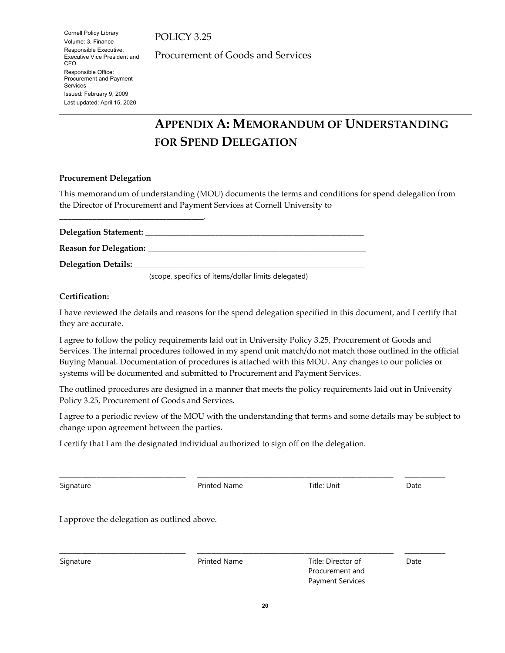POLICY 3.25

Procurement of Goods and Services

# <span id="page-19-0"></span>**APPENDIX A: MEMORANDUM OF UNDERSTANDING FOR SPEND DELEGATION**

### **Procurement Delegation**

\_\_\_\_\_\_\_\_\_\_\_\_\_\_\_\_\_\_\_\_\_\_\_\_\_\_\_\_\_\_\_\_\_\_\_.

This memorandum of understanding (MOU) documents the terms and conditions for spend delegation from the Director of Procurement and Payment Services at Cornell University to

**Delegation Statement:** \_\_\_\_\_\_\_\_\_\_\_\_\_\_\_\_\_\_\_\_\_\_\_\_\_\_\_\_\_\_\_\_\_\_\_\_\_\_\_\_\_\_\_\_\_\_\_\_\_\_\_\_\_ **Reason for Delegation:** \_\_\_\_\_\_\_\_\_\_\_\_\_\_\_\_\_\_\_\_\_\_\_\_\_\_\_\_\_\_\_\_\_\_\_\_\_\_\_\_\_\_\_\_\_\_\_\_\_\_\_\_\_ **Delegation Details:** \_\_\_\_\_\_\_\_\_\_\_\_\_\_\_\_\_\_\_\_\_\_\_\_\_\_\_\_\_\_\_\_\_\_\_\_\_\_\_\_\_\_\_\_\_\_\_\_\_\_\_\_\_\_\_\_ (scope, specifics of items/dollar limits delegated)

**Certification:** 

I have reviewed the details and reasons for the spend delegation specified in this document, and I certify that they are accurate.

I agree to follow the policy requirements laid out in University Policy 3.25, Procurement of Goods and Services. The internal procedures followed in my spend unit match/do not match those outlined in the official Buying Manual. Documentation of procedures is attached with this MOU. Any changes to our policies or systems will be documented and submitted to Procurement and Payment Services.

The outlined procedures are designed in a manner that meets the policy requirements laid out in University Policy 3.25, Procurement of Goods and Services.

I agree to a periodic review of the MOU with the understanding that terms and some details may be subject to change upon agreement between the parties.

I certify that I am the designated individual authorized to sign off on the delegation.

| Signature                                   | <b>Printed Name</b> | Title: Unit                                                      | Date |
|---------------------------------------------|---------------------|------------------------------------------------------------------|------|
| I approve the delegation as outlined above. |                     |                                                                  |      |
| Signature                                   | <b>Printed Name</b> | Title: Director of<br>Procurement and<br><b>Payment Services</b> | Date |

\_\_\_\_\_\_\_\_\_\_\_\_\_\_\_\_\_\_\_\_\_\_\_\_\_\_\_\_\_\_\_\_\_\_ \_\_\_\_\_\_\_\_\_\_\_\_\_\_\_\_\_\_\_\_\_\_\_\_\_\_\_\_\_\_\_\_\_\_\_\_\_\_\_\_\_\_\_\_\_\_\_\_\_\_\_\_\_ \_\_\_\_\_\_\_\_\_\_\_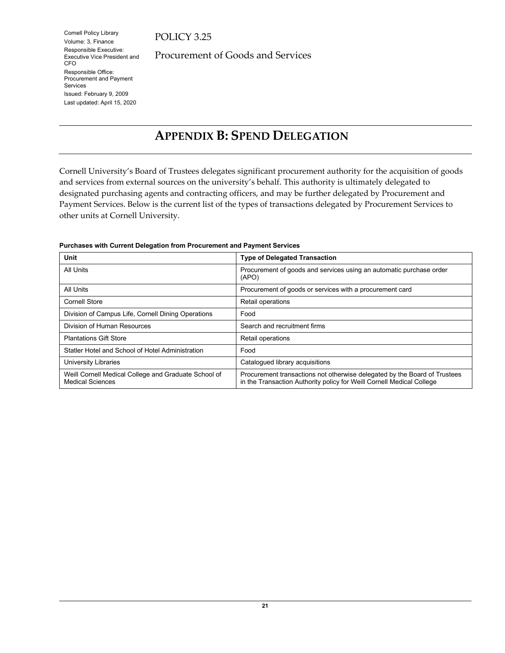## POLICY 3.25

Procurement of Goods and Services

# <span id="page-20-0"></span>**APPENDIX B: SPEND DELEGATION**

Cornell University's Board of Trustees delegates significant procurement authority for the acquisition of goods and services from external sources on the university's behalf. This authority is ultimately delegated to designated purchasing agents and contracting officers, and may be further delegated by Procurement and Payment Services. Below is the current list of the types of transactions delegated by Procurement Services to other units at Cornell University.

| Unit                                                                            | <b>Type of Delegated Transaction</b>                                                                                                               |
|---------------------------------------------------------------------------------|----------------------------------------------------------------------------------------------------------------------------------------------------|
| All Units                                                                       | Procurement of goods and services using an automatic purchase order<br>(APO)                                                                       |
| All Units                                                                       | Procurement of goods or services with a procurement card                                                                                           |
| <b>Cornell Store</b>                                                            | Retail operations                                                                                                                                  |
| Division of Campus Life, Cornell Dining Operations                              | Food                                                                                                                                               |
| Division of Human Resources                                                     | Search and recruitment firms                                                                                                                       |
| <b>Plantations Gift Store</b>                                                   | Retail operations                                                                                                                                  |
| Statler Hotel and School of Hotel Administration                                | Food                                                                                                                                               |
| University Libraries                                                            | Catalogued library acquisitions                                                                                                                    |
| Weill Cornell Medical College and Graduate School of<br><b>Medical Sciences</b> | Procurement transactions not otherwise delegated by the Board of Trustees<br>in the Transaction Authority policy for Weill Cornell Medical College |

#### **Purchases with Current Delegation from Procurement and Payment Services**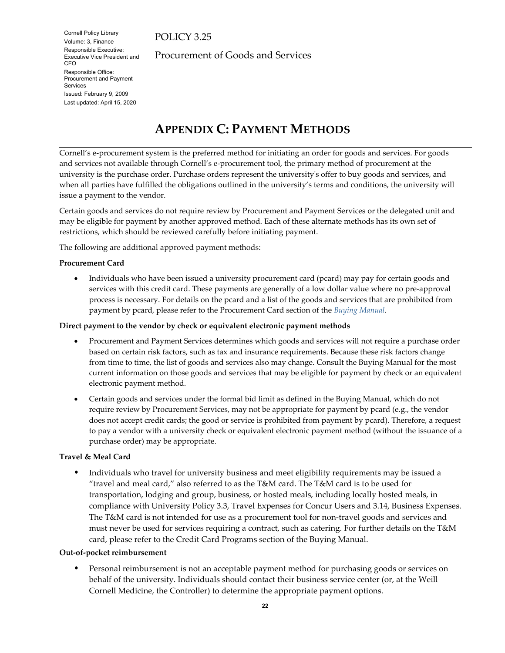POLICY 3.25

Procurement of Goods and Services

# <span id="page-21-0"></span>**APPENDIX C: PAYMENT METHODS**

Cornell's e-procurement system is the preferred method for initiating an order for goods and services. For goods and services not available through Cornell's e-procurement tool, the primary method of procurement at the university is the purchase order. Purchase orders represent the university's offer to buy goods and services, and when all parties have fulfilled the obligations outlined in the university's terms and conditions, the university will issue a payment to the vendor.

Certain goods and services do not require review by Procurement and Payment Services or the delegated unit and may be eligible for payment by another approved method. Each of these alternate methods has its own set of restrictions, which should be reviewed carefully before initiating payment.

The following are additional approved payment methods:

### **Procurement Card**

• Individuals who have been issued a university procurement card (pcard) may pay for certain goods and services with this credit card. These payments are generally of a low dollar value where no pre-approval process is necessary. For details on the pcard and a list of the goods and services that are prohibited from payment by pcard, please refer to the Procurement Card section of the *[Buying Manual](https://www.dfa.cornell.edu/procurement/buyers/manual/)*.

### **Direct payment to the vendor by check or equivalent electronic payment methods**

- Procurement and Payment Services determines which goods and services will not require a purchase order based on certain risk factors, such as tax and insurance requirements. Because these risk factors change from time to time, the list of goods and services also may change. Consult the Buying Manual for the most current information on those goods and services that may be eligible for payment by check or an equivalent electronic payment method.
- Certain goods and services under the formal bid limit as defined in the Buying Manual, which do not require review by Procurement Services, may not be appropriate for payment by pcard (e.g., the vendor does not accept credit cards; the good or service is prohibited from payment by pcard). Therefore, a request to pay a vendor with a university check or equivalent electronic payment method (without the issuance of a purchase order) may be appropriate.

### **Travel & Meal Card**

 Individuals who travel for university business and meet eligibility requirements may be issued a "travel and meal card," also referred to as the T&M card. The T&M card is to be used for transportation, lodging and group, business, or hosted meals, including locally hosted meals, in compliance with University Policy 3.3, Travel Expenses for Concur Users and 3.14, Business Expenses. The T&M card is not intended for use as a procurement tool for non-travel goods and services and must never be used for services requiring a contract, such as catering. For further details on the T&M card, please refer to the Credit Card Programs section of the Buying Manual.

### **Out-of-pocket reimbursement**

 Personal reimbursement is not an acceptable payment method for purchasing goods or services on behalf of the university. Individuals should contact their business service center (or, at the Weill Cornell Medicine, the Controller) to determine the appropriate payment options.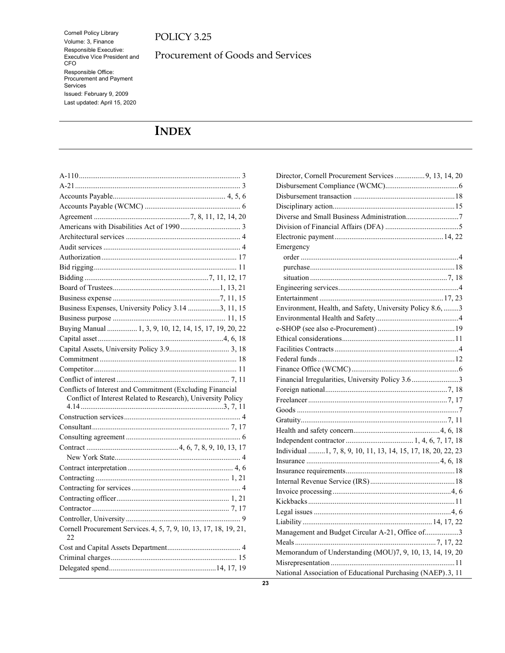## POLICY 3.25

Procurement of Goods and Services

# <span id="page-22-0"></span>**INDEX**

| Business Expenses, University Policy 3.14 3, 11, 15                     |
|-------------------------------------------------------------------------|
|                                                                         |
| Buying Manual  1, 3, 9, 10, 12, 14, 15, 17, 19, 20, 22                  |
|                                                                         |
|                                                                         |
|                                                                         |
|                                                                         |
|                                                                         |
| Conflicts of Interest and Commitment (Excluding Financial               |
| Conflict of Interest Related to Research), University Policy            |
|                                                                         |
|                                                                         |
|                                                                         |
|                                                                         |
|                                                                         |
|                                                                         |
|                                                                         |
|                                                                         |
|                                                                         |
|                                                                         |
|                                                                         |
|                                                                         |
| Cornell Procurement Services. 4, 5, 7, 9, 10, 13, 17, 18, 19, 21,<br>22 |
|                                                                         |
|                                                                         |
|                                                                         |

| Director, Cornell Procurement Services 9, 13, 14, 20           |  |
|----------------------------------------------------------------|--|
|                                                                |  |
|                                                                |  |
|                                                                |  |
|                                                                |  |
|                                                                |  |
|                                                                |  |
| Emergency                                                      |  |
|                                                                |  |
|                                                                |  |
|                                                                |  |
|                                                                |  |
|                                                                |  |
| Environment, Health, and Safety, University Policy 8.6,  3     |  |
|                                                                |  |
|                                                                |  |
|                                                                |  |
|                                                                |  |
|                                                                |  |
|                                                                |  |
| Financial Irregularities, University Policy 3.63               |  |
|                                                                |  |
|                                                                |  |
|                                                                |  |
|                                                                |  |
|                                                                |  |
|                                                                |  |
| Individual  1, 7, 8, 9, 10, 11, 13, 14, 15, 17, 18, 20, 22, 23 |  |
|                                                                |  |
|                                                                |  |
|                                                                |  |
|                                                                |  |
|                                                                |  |
|                                                                |  |
|                                                                |  |
| Management and Budget Circular A-21, Office of3                |  |
|                                                                |  |
| Memorandum of Understanding (MOU)7, 9, 10, 13, 14, 19, 20      |  |
|                                                                |  |
| National Association of Educational Purchasing (NAEP).3, 11    |  |